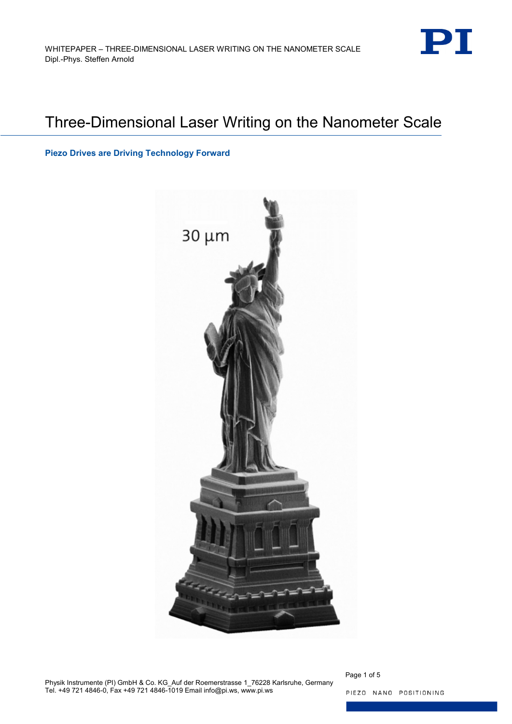

# Three-Dimensional Laser Writing on the Nanometer Scale

**Piezo Drives are Driving Technology Forward**



Physik Instrumente (PI) GmbH & Co. KG\_Auf der Roemerstrasse 1\_76228 Karlsruhe, Germany Tel. +49 721 4846-0, Fax +49 721 4846-1019 Email info@pi.ws, www.pi.ws

Page 1 of 5 PIEZO NANO POSITIONING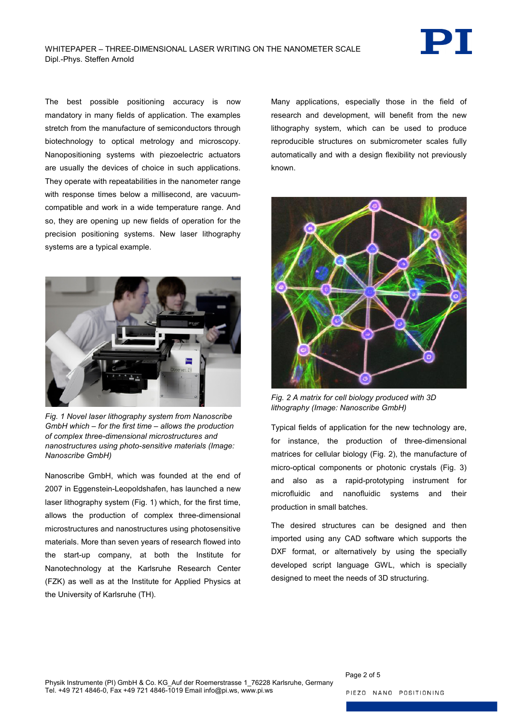

The best possible positioning accuracy is now mandatory in many fields of application. The examples stretch from the manufacture of semiconductors through biotechnology to optical metrology and microscopy. Nanopositioning systems with piezoelectric actuators are usually the devices of choice in such applications. They operate with repeatabilities in the nanometer range with response times below a millisecond, are vacuumcompatible and work in a wide temperature range. And so, they are opening up new fields of operation for the precision positioning systems. New laser lithography systems are a typical example.



*Fig. 1 Novel laser lithography system from Nanoscribe GmbH which – for the first time – allows the production of complex three-dimensional microstructures and nanostructures using photo-sensitive materials (Image: Nanoscribe GmbH)*

<span id="page-1-0"></span>Nanoscribe GmbH, which was founded at the end of 2007 in Eggenstein-Leopoldshafen, has launched a new laser lithography system [\(Fig. 1\)](#page-1-0) which, for the first time, allows the production of complex three-dimensional microstructures and nanostructures using photosensitive materials. More than seven years of research flowed into the start-up company, at both the Institute for Nanotechnology at the Karlsruhe Research Center (FZK) as well as at the Institute for Applied Physics at the University of Karlsruhe (TH).

Many applications, especially those in the field of research and development, will benefit from the new lithography system, which can be used to produce reproducible structures on submicrometer scales fully automatically and with a design flexibility not previously known.



*Fig. 2 A matrix for cell biology produced with 3D lithography (Image: Nanoscribe GmbH)*

<span id="page-1-1"></span>Typical fields of application for the new technology are, for instance, the production of three-dimensional matrices for cellular biology [\(Fig. 2\)](#page-1-1), the manufacture of micro-optical components or photonic crystals [\(Fig. 3\)](#page-2-0) and also as a rapid-prototyping instrument for microfluidic and nanofluidic systems and their production in small batches.

The desired structures can be designed and then imported using any CAD software which supports the DXF format, or alternatively by using the specially developed script language GWL, which is specially designed to meet the needs of 3D structuring.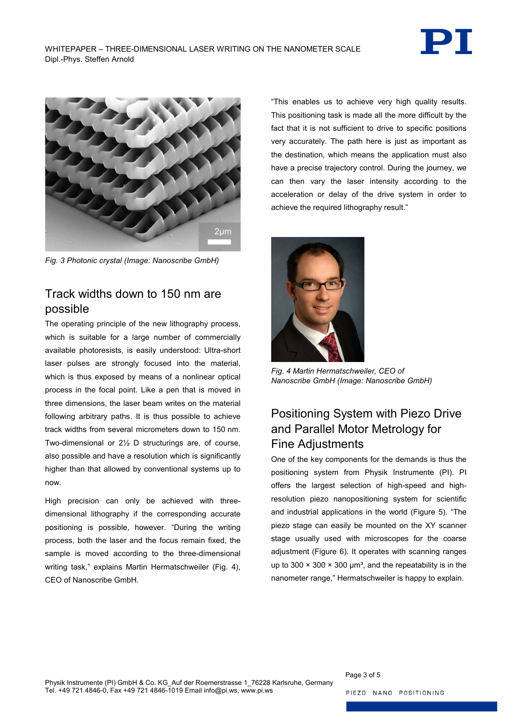



*Fig. 3 Photonic crystal (Image: Nanoscribe GmbH)*

# <span id="page-2-0"></span>Track widths down to 150 nm are possible

The operating principle of the new lithography process, which is suitable for a large number of commercially available photoresists, is easily understood: Ultra-short laser pulses are strongly focused into the material, which is thus exposed by means of a nonlinear optical process in the focal point. Like a pen that is moved in three dimensions, the laser beam writes on the material following arbitrary paths. It is thus possible to achieve track widths from several micrometers down to 150 nm. Two-dimensional or 2½ D structurings are, of course, also possible and have a resolution which is significantly higher than that allowed by conventional systems up to now.

High precision can only be achieved with threedimensional lithography if the corresponding accurate positioning is possible, however. "During the writing process, both the laser and the focus remain fixed, the sample is moved according to the three-dimensional writing task," explains Martin Hermatschweiler [\(Fig. 4\)](#page-2-1), CEO of Nanoscribe GmbH.

"This enables us to achieve very high quality results. This positioning task is made all the more difficult by the fact that it is not sufficient to drive to specific positions very accurately. The path here is just as important as the destination, which means the application must also have a precise trajectory control. During the journey, we can then vary the laser intensity according to the acceleration or delay of the drive system in order to achieve the required lithography result."



*Fig. 4 Martin Hermatschweiler, CEO of Nanoscribe GmbH (Image: Nanoscribe GmbH)*

# <span id="page-2-1"></span>Positioning System with Piezo Drive and Parallel Motor Metrology for Fine Adjustments

One of the key components for the demands is thus the positioning system from Physik Instrumente (PI). PI offers the largest selection of high-speed and highresolution piezo nanopositioning system for scientific and industrial applications in the world (Figure 5). "The piezo stage can easily be mounted on the XY scanner stage usually used with microscopes for the coarse adjustment (Figure 6). It operates with scanning ranges up to 300  $\times$  300  $\times$  300 µm<sup>3</sup>, and the repeatability is in the nanometer range," Hermatschweiler is happy to explain.

Page 3 of 5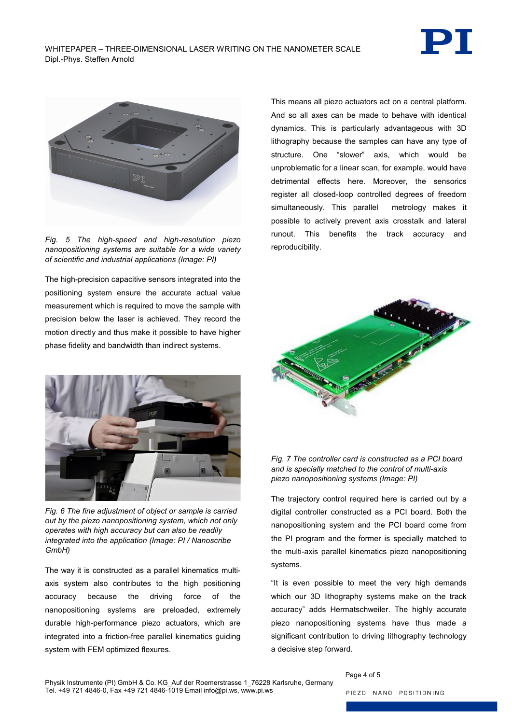



*Fig. 5 The high-speed and high-resolution piezo nanopositioning systems are suitable for a wide variety of scientific and industrial applications (Image: PI)*

The high-precision capacitive sensors integrated into the positioning system ensure the accurate actual value measurement which is required to move the sample with precision below the laser is achieved. They record the motion directly and thus make it possible to have higher phase fidelity and bandwidth than indirect systems.



*Fig. 6 The fine adjustment of object or sample is carried out by the piezo nanopositioning system, which not only operates with high accuracy but can also be readily integrated into the application (Image: PI / Nanoscribe GmbH)*

The way it is constructed as a parallel kinematics multiaxis system also contributes to the high positioning accuracy because the driving force of the nanopositioning systems are preloaded, extremely durable high-performance piezo actuators, which are integrated into a friction-free parallel kinematics guiding system with FEM optimized flexures.

This means all piezo actuators act on a central platform. And so all axes can be made to behave with identical dynamics. This is particularly advantageous with 3D lithography because the samples can have any type of structure. One "slower" axis, which would be unproblematic for a linear scan, for example, would have detrimental effects here. Moreover, the sensorics register all closed-loop controlled degrees of freedom simultaneously. This parallel metrology makes it possible to actively prevent axis crosstalk and lateral runout. This benefits the track accuracy and reproducibility.





The trajectory control required here is carried out by a digital controller constructed as a PCI board. Both the nanopositioning system and the PCI board come from the PI program and the former is specially matched to the multi-axis parallel kinematics piezo nanopositioning systems.

"It is even possible to meet the very high demands which our 3D lithography systems make on the track accuracy" adds Hermatschweiler. The highly accurate piezo nanopositioning systems have thus made a significant contribution to driving lithography technology a decisive step forward.

#### Physik Instrumente (PI) GmbH & Co. KG\_Auf der Roemerstrasse 1\_76228 Karlsruhe, Germany Tel. +49 721 4846-0, Fax +49 721 4846-1019 Email info@pi.ws, www.pi.ws

Page 4 of 5